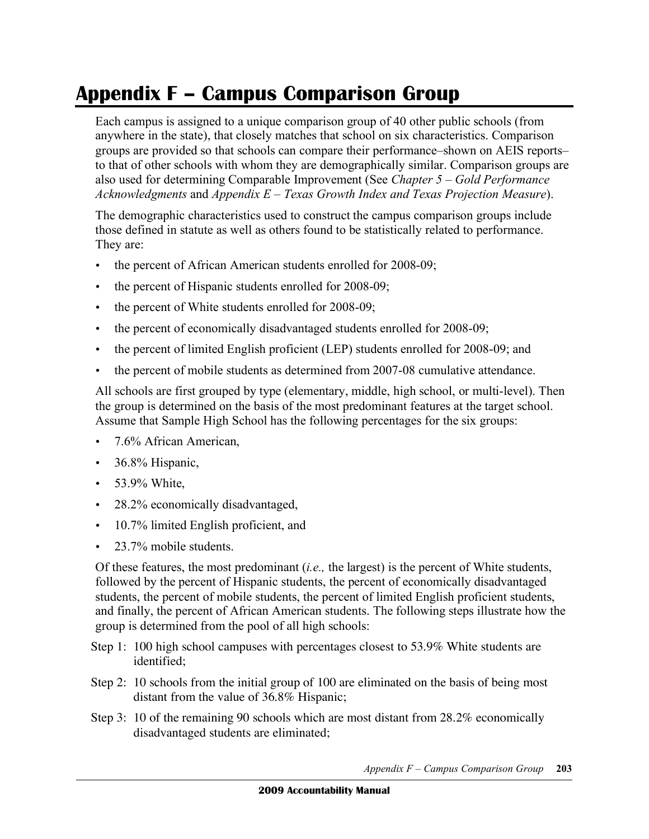## **Appendix F – Campus Comparison Group**

 Each campus is assigned to a unique comparison group of 40 other public schools (from anywhere in the state), that closely matches that school on six characteristics. Comparison groups are provided so that schools can compare their performance–shown on AEIS reports– to that of other schools with whom they are demographically similar. Comparison groups are also used for determining Comparable Improvement (See *Chapter 5 – Gold Performance Acknowledgments* and *Appendix E – Texas Growth Index and Texas Projection Measure*).

 The demographic characteristics used to construct the campus comparison groups include those defined in statute as well as others found to be statistically related to performance. They are:

- the percent of African American students enrolled for 2008-09;
- the percent of Hispanic students enrolled for 2008-09;
- the percent of White students enrolled for 2008-09;
- the percent of economically disadvantaged students enrolled for 2008-09;
- the percent of limited English proficient (LEP) students enrolled for 2008-09; and
- the percent of mobile students as determined from 2007-08 cumulative attendance.

 All schools are first grouped by type (elementary, middle, high school, or multi-level). Then the group is determined on the basis of the most predominant features at the target school. Assume that Sample High School has the following percentages for the six groups:

- 7.6% African American,
- 36.8% Hispanic,
- 53.9% White,
- 28.2% economically disadvantaged,
- 10.7% limited English proficient, and
- 23.7% mobile students.

 Of these features, the most predominant (*i.e.,* the largest) is the percent of White students, followed by the percent of Hispanic students, the percent of economically disadvantaged students, the percent of mobile students, the percent of limited English proficient students, and finally, the percent of African American students. The following steps illustrate how the group is determined from the pool of all high schools:

- Step 1: 100 high school campuses with percentages closest to 53.9% White students are identified;
- Step 2: 10 schools from the initial group of 100 are eliminated on the basis of being most distant from the value of 36.8% Hispanic;
- Step 3: 10 of the remaining 90 schools which are most distant from  $28.2\%$  economically disadvantaged students are eliminated;

 *Appendix F – Campus Comparison Group* **203**